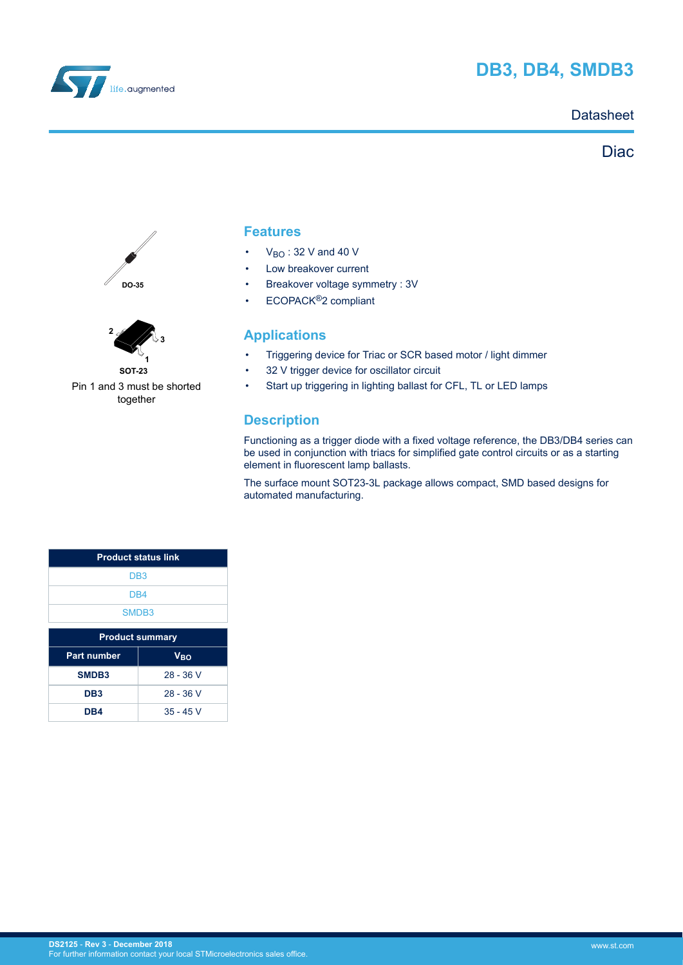

# **DB3, DB4, SMDB3**

### **Datasheet**

## **Diac**





**SOT-23** Pin 1 and 3 must be shorted together

### **Features**

- $V_{BO}$ : 32 V and 40 V
- Low breakover current
- Breakover voltage symmetry : 3V
- ECOPACK®2 compliant

### **Applications**

- Triggering device for Triac or SCR based motor / light dimmer
- 32 V trigger device for oscillator circuit
- Start up triggering in lighting ballast for CFL, TL or LED lamps

## **Description**

Functioning as a trigger diode with a fixed voltage reference, the DB3/DB4 series can be used in conjunction with triacs for simplified gate control circuits or as a starting element in fluorescent lamp ballasts.

The surface mount SOT23-3L package allows compact, SMD based designs for automated manufacturing.

| <b>Product status link</b>     |             |  |
|--------------------------------|-------------|--|
| DB <sub>3</sub>                |             |  |
| D <sub>B4</sub>                |             |  |
| SMDB <sub>3</sub>              |             |  |
| <b>Product summary</b>         |             |  |
| <b>Part number</b>             | $V_{BO}$    |  |
| SMDB3                          | $28 - 36$ V |  |
| $28 - 36$ V<br>DB <sub>3</sub> |             |  |
| $35 - 45$ V<br>DB4             |             |  |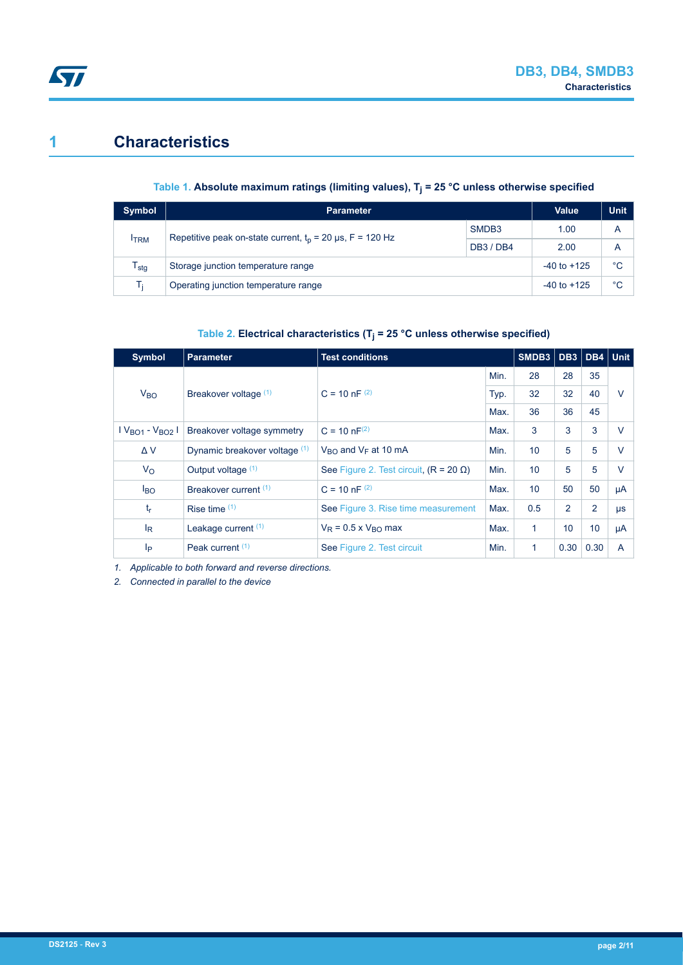# **1 Characteristics**

ST

### **Table 1. Absolute maximum ratings (limiting values), T<sup>j</sup> = 25 °C unless otherwise specified**

| <b>Symbol</b> | Parameter                                                   | <b>Value</b>      | <b>Unit</b> |   |
|---------------|-------------------------------------------------------------|-------------------|-------------|---|
|               | Repetitive peak on-state current, $t_0$ = 20 µs, F = 120 Hz | SMDB <sub>3</sub> | 1.00        | Α |
| <b>ITRM</b>   |                                                             | <b>DB3 / DB4</b>  | 2.00        | Α |
| stg           | Storage junction temperature range                          | $-40$ to $+125$   | °C          |   |
| <b>L:</b>     | Operating junction temperature range                        | $-40$ to $+125$   | °C          |   |

### **Table 2. Electrical characteristics (T<sup>j</sup> = 25 °C unless otherwise specified)**

| <b>Symbol</b>   | <b>Parameter</b>              | <b>Test conditions</b>                        |      | SMDB3 |                 | DB3 DB4 Unit |        |
|-----------------|-------------------------------|-----------------------------------------------|------|-------|-----------------|--------------|--------|
|                 |                               |                                               | Min. | 28    | 28              | 35           |        |
| V <sub>BO</sub> | Breakover voltage (1)         | $C = 10 nF^{(2)}$                             | Typ. | 32    | 32              | 40           | $\vee$ |
|                 |                               |                                               | Max. | 36    | 36              | 45           |        |
| $VBO1 - VBO2$   | Breakover voltage symmetry    | $C = 10 nF^{(2)}$                             | Max. | 3     | 3               | 3            | $\vee$ |
| ΔV              | Dynamic breakover voltage (1) | $V_{\rm BO}$ and $V_{\rm E}$ at 10 mA         | Min. | 10    | 5               | 5            | $\vee$ |
| $V_{\rm O}$     | Output voltage (1)            | See Figure 2. Test circuit, $(R = 20 \Omega)$ | Min. | 10    | 5               | 5            | $\vee$ |
| $I_{BO}$        | Breakover current (1)         | $C = 10$ nF $(2)$                             | Max. | 10    | 50              | 50           | μA     |
| $t_{r}$         | Rise time $(1)$               | See Figure 3. Rise time measurement           | Max. | 0.5   | 2               | 2            | μs     |
| $I_R$           | Leakage current $(1)$         | $V_R$ = 0.5 x $V_{RO}$ max                    | Max. | 1     | 10 <sup>1</sup> | 10           | μA     |
| lp              | Peak current (1)              | See Figure 2. Test circuit                    | Min. | 1     | 0.30            | 0.30         | A      |

*1. Applicable to both forward and reverse directions.*

*2. Connected in parallel to the device*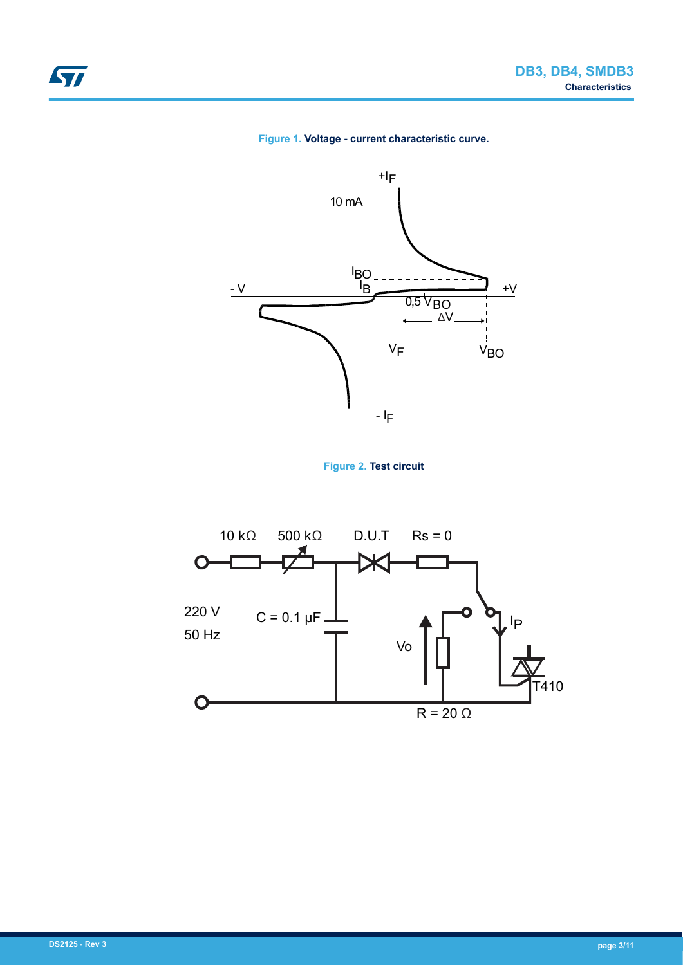







<span id="page-2-0"></span>ST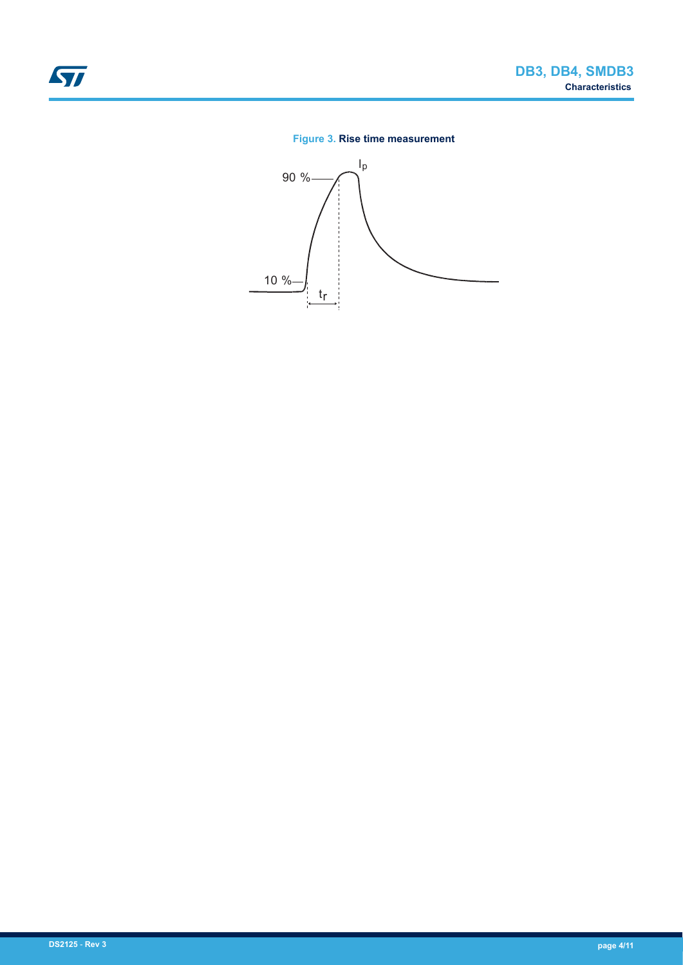### **Figure 3. Rise time measurement**

<span id="page-3-0"></span>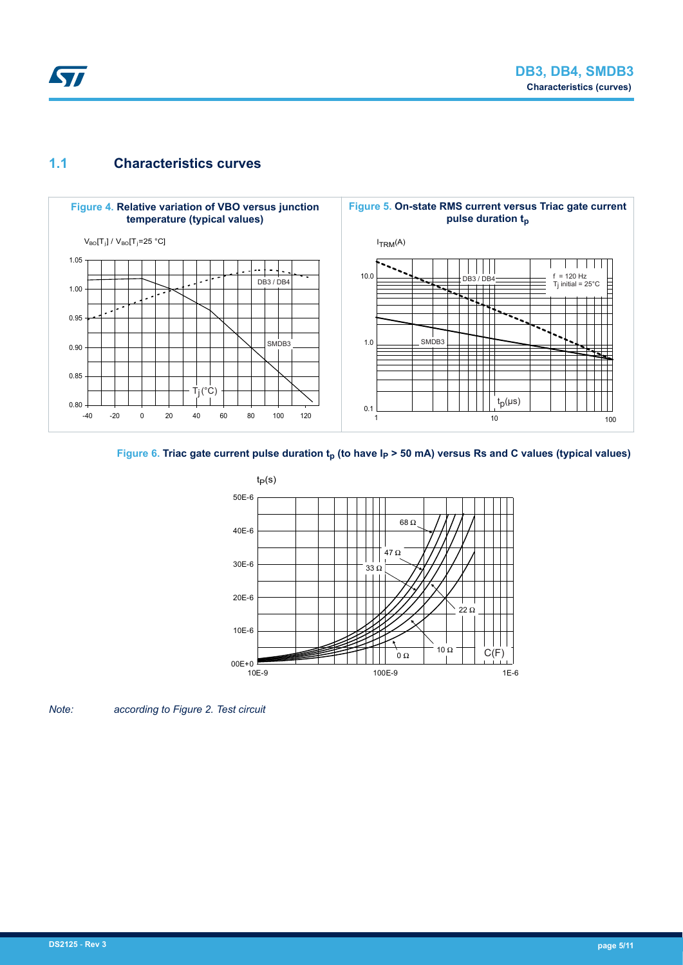

## **1.1 Characteristics curves**



### Figure 6. Triac gate current pulse duration  $t_p$  (to have  $I_p$  > 50 mA) versus Rs and C values (typical values)



*Note: according to Figure 2. Test circuit*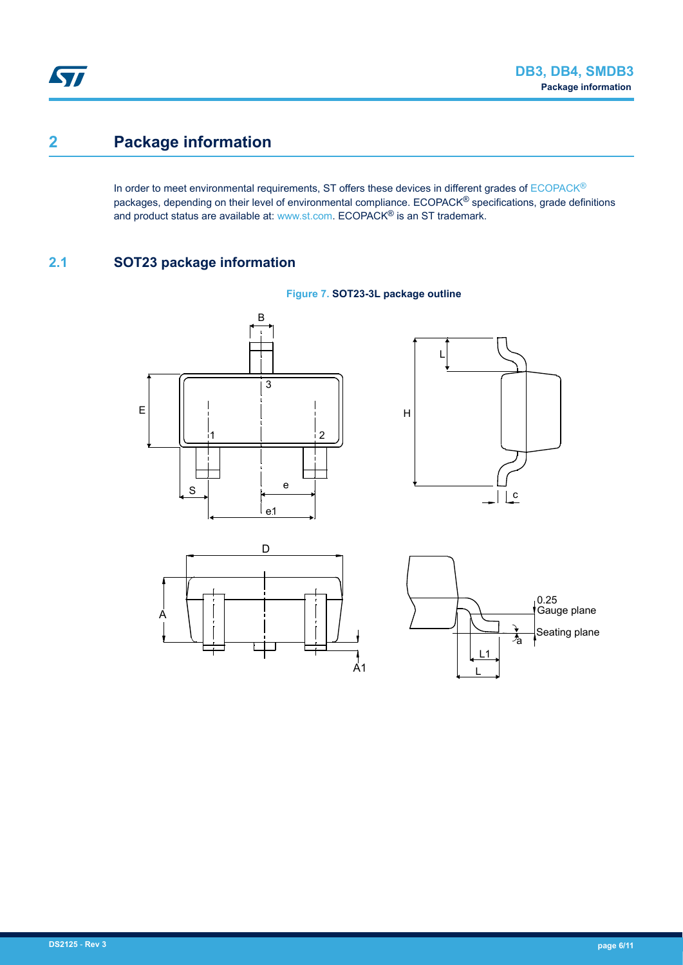# **2 Package information**

In order to meet environmental requirements, ST offers these devices in different grades of [ECOPACK](https://www.st.com/ecopack)® packages, depending on their level of environmental compliance. ECOPACK<sup>®</sup> specifications, grade definitions and product status are available at: [www.st.com.](http://www.st.com) ECOPACK® is an ST trademark.

## **2.1 SOT23 package information**



 $\frac{1}{A1}$ 

L  $\overline{1}$   $\frac{1}{2}$ 

Seating plane

**Figure 7. SOT23-3L package outline**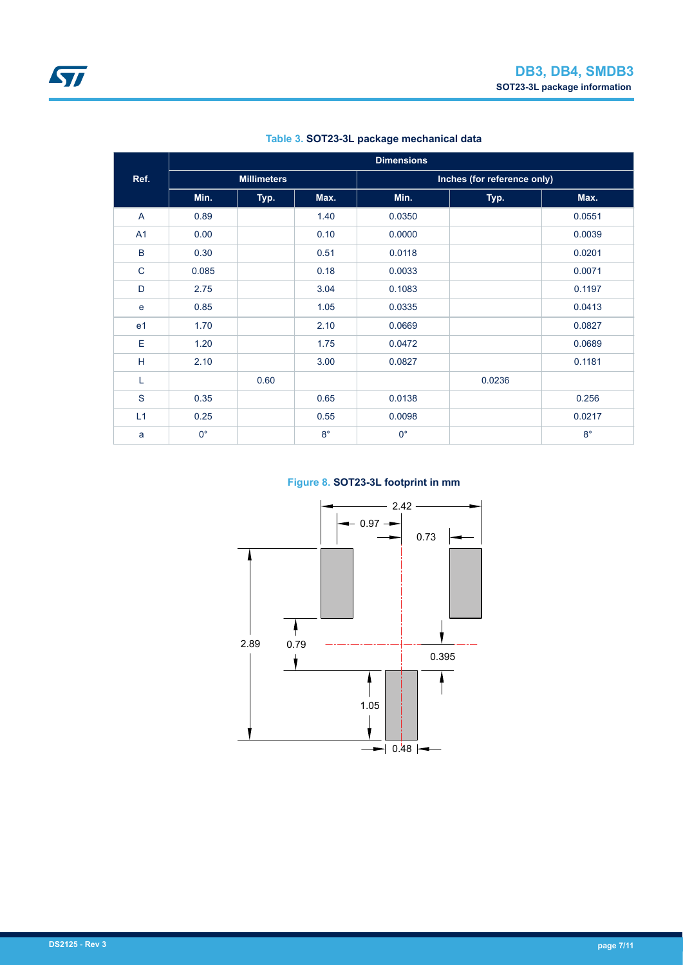|                | <b>Dimensions</b> |                    |             |             |                             |             |
|----------------|-------------------|--------------------|-------------|-------------|-----------------------------|-------------|
| Ref.           |                   | <b>Millimeters</b> |             |             | Inches (for reference only) |             |
|                | Min.              | Typ.               | Max.        | Min.        | Typ.                        | Max.        |
| A              | 0.89              |                    | 1.40        | 0.0350      |                             | 0.0551      |
| A <sub>1</sub> | 0.00              |                    | 0.10        | 0.0000      |                             | 0.0039      |
| B              | 0.30              |                    | 0.51        | 0.0118      |                             | 0.0201      |
| $\mathsf{C}$   | 0.085             |                    | 0.18        | 0.0033      |                             | 0.0071      |
| D              | 2.75              |                    | 3.04        | 0.1083      |                             | 0.1197      |
| e              | 0.85              |                    | 1.05        | 0.0335      |                             | 0.0413      |
| e <sub>1</sub> | 1.70              |                    | 2.10        | 0.0669      |                             | 0.0827      |
| E              | 1.20              |                    | 1.75        | 0.0472      |                             | 0.0689      |
| н              | 2.10              |                    | 3.00        | 0.0827      |                             | 0.1181      |
| L              |                   | 0.60               |             |             | 0.0236                      |             |
| ${\mathsf S}$  | 0.35              |                    | 0.65        | 0.0138      |                             | 0.256       |
| L1             | 0.25              |                    | 0.55        | 0.0098      |                             | 0.0217      |
| a              | $0^{\circ}$       |                    | $8^{\circ}$ | $0^{\circ}$ |                             | $8^{\circ}$ |

### **Table 3. SOT23-3L package mechanical data**

### **Figure 8. SOT23-3L footprint in mm**

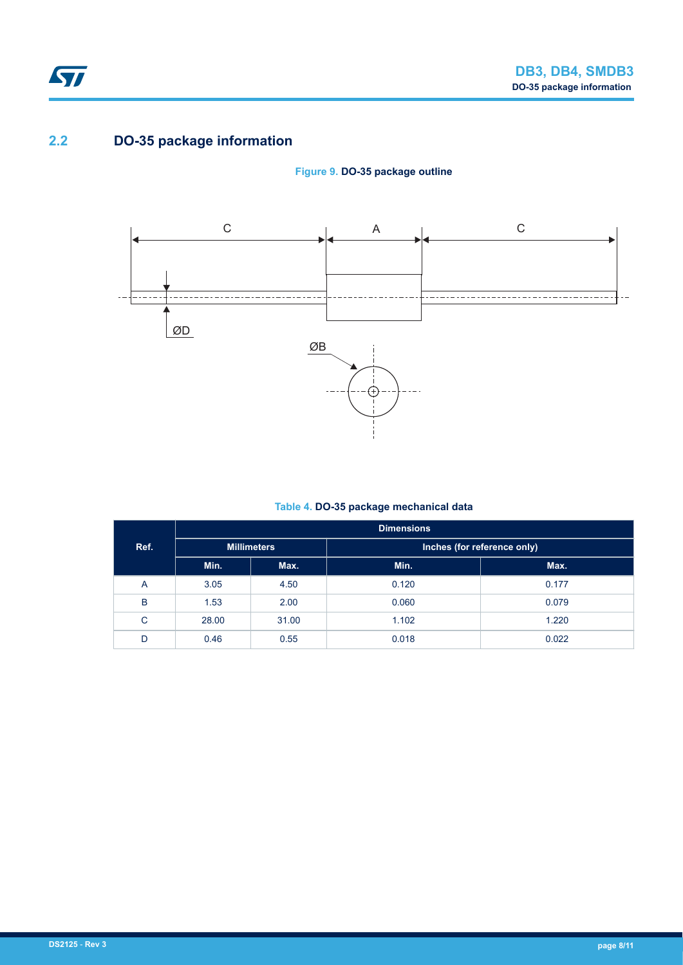

## **2.2 DO-35 package information**





### **Table 4. DO-35 package mechanical data**

|      | <b>Dimensions</b>  |       |       |                             |  |
|------|--------------------|-------|-------|-----------------------------|--|
| Ref. | <b>Millimeters</b> |       |       | Inches (for reference only) |  |
|      | Min.               | Max.  | Min.  | Max.                        |  |
| Α    | 3.05               | 4.50  | 0.120 | 0.177                       |  |
| B    | 1.53               | 2.00  | 0.060 | 0.079                       |  |
| C    | 28.00              | 31.00 | 1.102 | 1.220                       |  |
| D    | 0.46               | 0.55  | 0.018 | 0.022                       |  |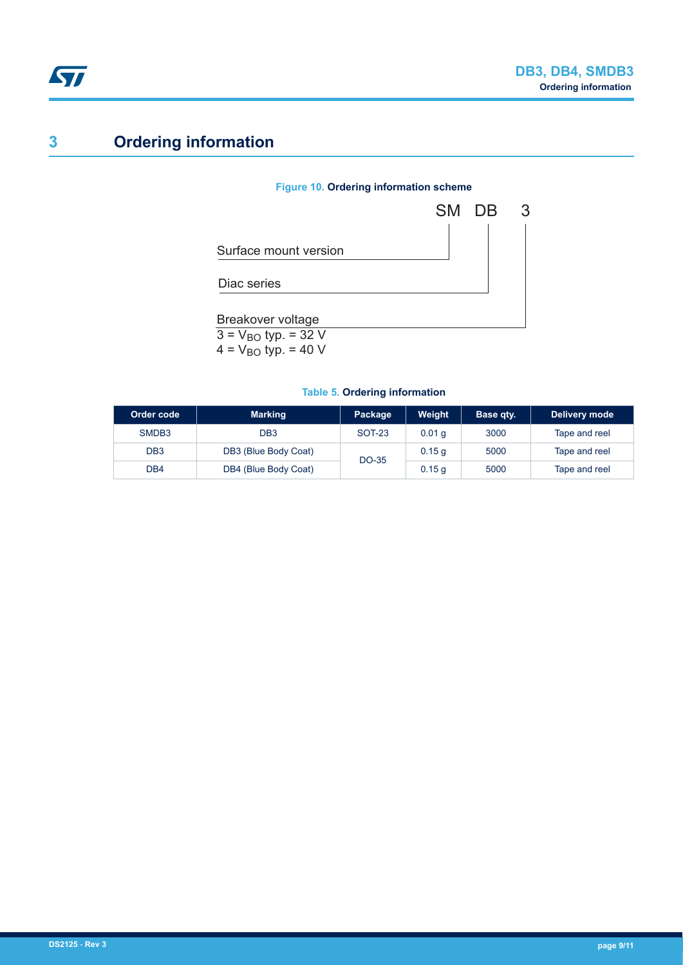

# **3 Ordering information**

### **Figure 10. Ordering information scheme**



 $4 = V_{BO}$  typ. = 40 V

#### **Table 5. Ordering information**

| Order code        | <b>Marking</b>       | Package       | Weight            | Base qty. | Delivery mode |
|-------------------|----------------------|---------------|-------------------|-----------|---------------|
| SMDB <sub>3</sub> | DB3                  | <b>SOT-23</b> | 0.01 <sub>q</sub> | 3000      | Tape and reel |
| DB <sub>3</sub>   | DB3 (Blue Body Coat) | DO-35         | 0.15q             | 5000      | Tape and reel |
| DB4               | DB4 (Blue Body Coat) |               | 0.15q             | 5000      | Tape and reel |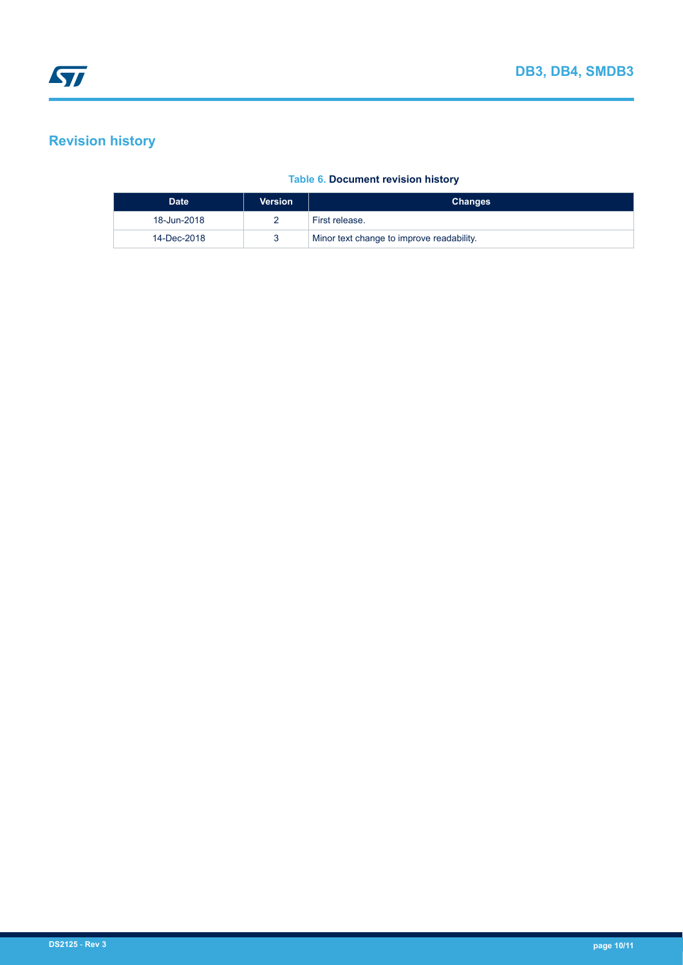# **Revision history**

### **Table 6. Document revision history**

| <b>Date</b> | <b>Version</b> | <b>Changes</b>                            |
|-------------|----------------|-------------------------------------------|
| 18-Jun-2018 |                | First release.                            |
| 14-Dec-2018 |                | Minor text change to improve readability. |